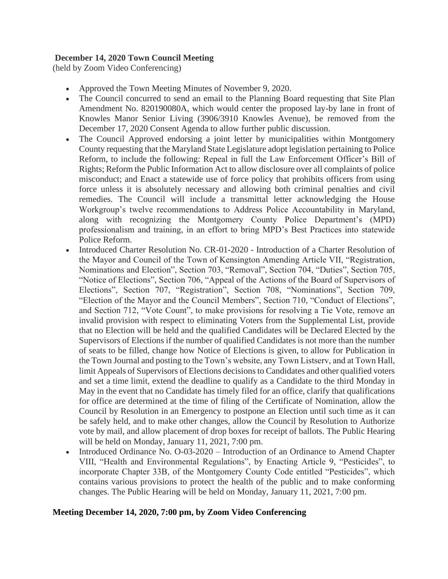## **December 14, 2020 Town Council Meeting**

(held by Zoom Video Conferencing)

- Approved the Town Meeting Minutes of November 9, 2020.
- The Council concurred to send an email to the Planning Board requesting that Site Plan Amendment No. 820190080A, which would center the proposed lay-by lane in front of Knowles Manor Senior Living (3906/3910 Knowles Avenue), be removed from the December 17, 2020 Consent Agenda to allow further public discussion.
- The Council Approved endorsing a joint letter by municipalities within Montgomery County requesting that the Maryland State Legislature adopt legislation pertaining to Police Reform, to include the following: Repeal in full the Law Enforcement Officer's Bill of Rights; Reform the Public Information Act to allow disclosure over all complaints of police misconduct; and Enact a statewide use of force policy that prohibits officers from using force unless it is absolutely necessary and allowing both criminal penalties and civil remedies. The Council will include a transmittal letter acknowledging the House Workgroup's twelve recommendations to Address Police Accountability in Maryland, along with recognizing the Montgomery County Police Department's (MPD) professionalism and training, in an effort to bring MPD's Best Practices into statewide Police Reform.
- Introduced [Charter Resolution No. CR-01-2020](http://r20.rs6.net/tn.jsp?f=001ySPx9YzNcBeHvEKLzniRt2Hdj1X27wcYm_xWIn4vNM_W7JMbSkouALwjQvvueDtNC0uJ9vXJetIHJXEMFpOBGFXUxQj7Z38ZVv0i8Oe8WbT2F5ay6HxSr4FREW65sllgCpqj_ggQ7sczaZgdcEnFEWBGiKgM7GyV7FCBq0GXwK-B4iwSLmfdCufj4DZQuJm9NvstqEF-KGI=&c=NPWBAE3_A6sEjdBtmmIn4J-9g9RJuVVcW3zGQMQeCS6HObL7OeFjbg==&ch=YVvdjaPAvzELQeudIKSVj9kUT9Af-FoTg2WhWOFm9QXdi8mrE47E5w==) Introduction of a Charter Resolution of the Mayor and Council of the Town of Kensington Amending Article VII, "Registration, Nominations and Election", Section 703, "Removal", Section 704, "Duties", Section 705, "Notice of Elections", Section 706, "Appeal of the Actions of the Board of Supervisors of Elections", Section 707, "Registration", Section 708, "Nominations", Section 709, "Election of the Mayor and the Council Members", Section 710, "Conduct of Elections", and Section 712, "Vote Count", to make provisions for resolving a Tie Vote, remove an invalid provision with respect to eliminating Voters from the Supplemental List, provide that no Election will be held and the qualified Candidates will be Declared Elected by the Supervisors of Elections if the number of qualified Candidates is not more than the number of seats to be filled, change how Notice of Elections is given, to allow for Publication in the Town Journal and posting to the Town's website, any Town Listserv, and at Town Hall, limit Appeals of Supervisors of Elections decisions to Candidates and other qualified voters and set a time limit, extend the deadline to qualify as a Candidate to the third Monday in May in the event that no Candidate has timely filed for an office, clarify that qualifications for office are determined at the time of filing of the Certificate of Nomination, allow the Council by Resolution in an Emergency to postpone an Election until such time as it can be safely held, and to make other changes, allow the Council by Resolution to Authorize vote by mail, and allow placement of drop boxes for receipt of ballots. The Public Hearing will be held on Monday, January 11, 2021, 7:00 pm.
- Introduced [Ordinance No. O-03-2020](http://r20.rs6.net/tn.jsp?f=001ySPx9YzNcBeHvEKLzniRt2Hdj1X27wcYm_xWIn4vNM_W7JMbSkouALwjQvvueDtN5_-FAdogYsc6RWQLNJqwc62VPZWMPBp-Osv_FkQU2q276OUAmZgRHXW2h6dsXl31qpVnXAHTu4fhxz99NzInSk6HqXf7ec4a13wLEf6D7VFj3ZVVfIfuV23KV_zhaiJu&c=NPWBAE3_A6sEjdBtmmIn4J-9g9RJuVVcW3zGQMQeCS6HObL7OeFjbg==&ch=YVvdjaPAvzELQeudIKSVj9kUT9Af-FoTg2WhWOFm9QXdi8mrE47E5w==) Introduction of an Ordinance to Amend Chapter VIII, "Health and Environmental Regulations", by Enacting Article 9, "Pesticides", to incorporate Chapter 33B, of the Montgomery County Code entitled "Pesticides", which contains various provisions to protect the health of the public and to make conforming changes. The Public Hearing will be held on Monday, January 11, 2021, 7:00 pm.

### **Meeting December 14, 2020, 7:00 pm, by Zoom Video Conferencing**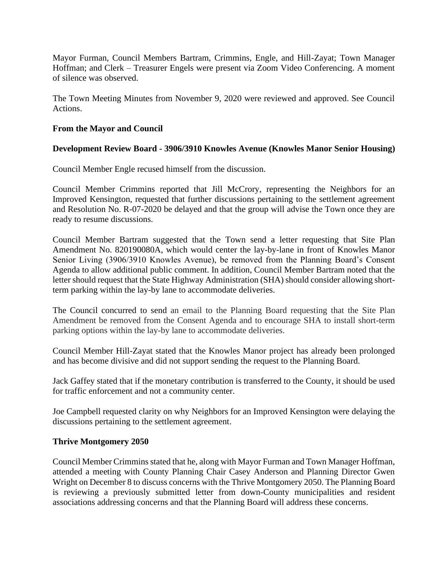Mayor Furman, Council Members Bartram, Crimmins, Engle, and Hill-Zayat; Town Manager Hoffman; and Clerk – Treasurer Engels were present via Zoom Video Conferencing. A moment of silence was observed.

The Town Meeting Minutes from November 9, 2020 were reviewed and approved. See Council Actions.

## **From the Mayor and Council**

## **Development Review Board - 3906/3910 Knowles Avenue (Knowles Manor Senior Housing)**

Council Member Engle recused himself from the discussion.

Council Member Crimmins reported that Jill McCrory, representing the Neighbors for an Improved Kensington, requested that further discussions pertaining to the settlement agreement and Resolution No. R-07-2020 be delayed and that the group will advise the Town once they are ready to resume discussions.

Council Member Bartram suggested that the Town send a letter requesting that Site Plan Amendment No. 820190080A, which would center the lay-by-lane in front of Knowles Manor Senior Living (3906/3910 Knowles Avenue), be removed from the Planning Board's Consent Agenda to allow additional public comment. In addition, Council Member Bartram noted that the letter should request that the State Highway Administration (SHA) should consider allowing shortterm parking within the lay-by lane to accommodate deliveries.

The Council concurred to send an email to the Planning Board requesting that the Site Plan Amendment be removed from the Consent Agenda and to encourage SHA to install short-term parking options within the lay-by lane to accommodate deliveries.

Council Member Hill-Zayat stated that the Knowles Manor project has already been prolonged and has become divisive and did not support sending the request to the Planning Board.

Jack Gaffey stated that if the monetary contribution is transferred to the County, it should be used for traffic enforcement and not a community center.

Joe Campbell requested clarity on why Neighbors for an Improved Kensington were delaying the discussions pertaining to the settlement agreement.

### **Thrive Montgomery 2050**

Council Member Crimmins stated that he, along with Mayor Furman and Town Manager Hoffman, attended a meeting with County Planning Chair Casey Anderson and Planning Director Gwen Wright on December 8 to discuss concerns with the Thrive Montgomery 2050. The Planning Board is reviewing a previously submitted letter from down-County municipalities and resident associations addressing concerns and that the Planning Board will address these concerns.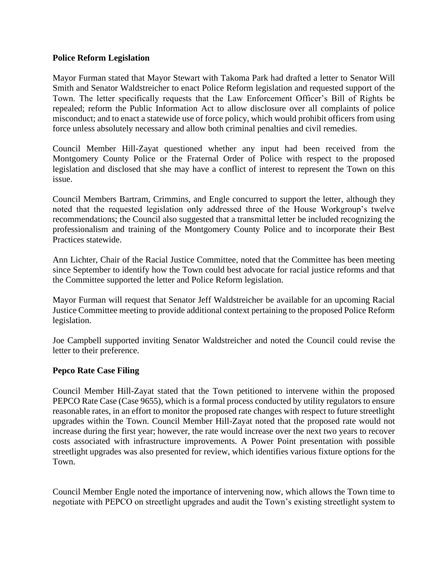### **Police Reform Legislation**

Mayor Furman stated that Mayor Stewart with Takoma Park had drafted a letter to Senator Will Smith and Senator Waldstreicher to enact Police Reform legislation and requested support of the Town. The letter specifically requests that the Law Enforcement Officer's Bill of Rights be repealed; reform the Public Information Act to allow disclosure over all complaints of police misconduct; and to enact a statewide use of force policy, which would prohibit officers from using force unless absolutely necessary and allow both criminal penalties and civil remedies.

Council Member Hill-Zayat questioned whether any input had been received from the Montgomery County Police or the Fraternal Order of Police with respect to the proposed legislation and disclosed that she may have a conflict of interest to represent the Town on this issue.

Council Members Bartram, Crimmins, and Engle concurred to support the letter, although they noted that the requested legislation only addressed three of the House Workgroup's twelve recommendations; the Council also suggested that a transmittal letter be included recognizing the professionalism and training of the Montgomery County Police and to incorporate their Best Practices statewide.

Ann Lichter, Chair of the Racial Justice Committee, noted that the Committee has been meeting since September to identify how the Town could best advocate for racial justice reforms and that the Committee supported the letter and Police Reform legislation.

Mayor Furman will request that Senator Jeff Waldstreicher be available for an upcoming Racial Justice Committee meeting to provide additional context pertaining to the proposed Police Reform legislation.

Joe Campbell supported inviting Senator Waldstreicher and noted the Council could revise the letter to their preference.

# **Pepco Rate Case Filing**

Council Member Hill-Zayat stated that the Town petitioned to intervene within the proposed PEPCO Rate Case (Case 9655), which is a formal process conducted by utility regulators to ensure reasonable rates, in an effort to monitor the proposed rate changes with respect to future streetlight upgrades within the Town. Council Member Hill-Zayat noted that the proposed rate would not increase during the first year; however, the rate would increase over the next two years to recover costs associated with infrastructure improvements. A Power Point presentation with possible streetlight upgrades was also presented for review, which identifies various fixture options for the Town.

Council Member Engle noted the importance of intervening now, which allows the Town time to negotiate with PEPCO on streetlight upgrades and audit the Town's existing streetlight system to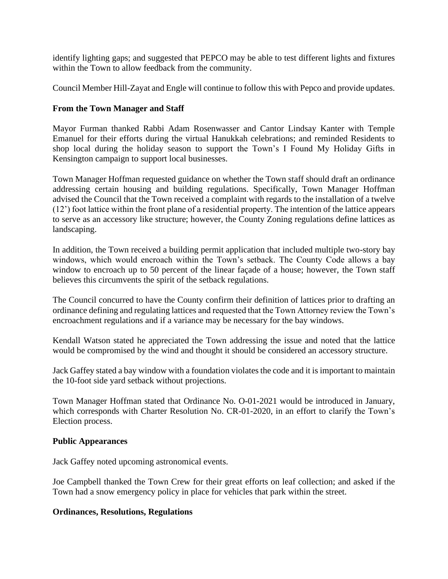identify lighting gaps; and suggested that PEPCO may be able to test different lights and fixtures within the Town to allow feedback from the community.

Council Member Hill-Zayat and Engle will continue to follow this with Pepco and provide updates.

## **From the Town Manager and Staff**

Mayor Furman thanked Rabbi Adam Rosenwasser and Cantor Lindsay Kanter with Temple Emanuel for their efforts during the virtual Hanukkah celebrations; and reminded Residents to shop local during the holiday season to support the Town's I Found My Holiday Gifts in Kensington campaign to support local businesses.

Town Manager Hoffman requested guidance on whether the Town staff should draft an ordinance addressing certain housing and building regulations. Specifically, Town Manager Hoffman advised the Council that the Town received a complaint with regards to the installation of a twelve (12') foot lattice within the front plane of a residential property. The intention of the lattice appears to serve as an accessory like structure; however, the County Zoning regulations define lattices as landscaping.

In addition, the Town received a building permit application that included multiple two-story bay windows, which would encroach within the Town's setback. The County Code allows a bay window to encroach up to 50 percent of the linear facade of a house; however, the Town staff believes this circumvents the spirit of the setback regulations.

The Council concurred to have the County confirm their definition of lattices prior to drafting an ordinance defining and regulating lattices and requested that the Town Attorney review the Town's encroachment regulations and if a variance may be necessary for the bay windows.

Kendall Watson stated he appreciated the Town addressing the issue and noted that the lattice would be compromised by the wind and thought it should be considered an accessory structure.

Jack Gaffey stated a bay window with a foundation violates the code and it is important to maintain the 10-foot side yard setback without projections.

Town Manager Hoffman stated that Ordinance No. O-01-2021 would be introduced in January, which corresponds with Charter Resolution No. CR-01-2020, in an effort to clarify the Town's Election process.

### **Public Appearances**

Jack Gaffey noted upcoming astronomical events.

Joe Campbell thanked the Town Crew for their great efforts on leaf collection; and asked if the Town had a snow emergency policy in place for vehicles that park within the street.

### **Ordinances, Resolutions, Regulations**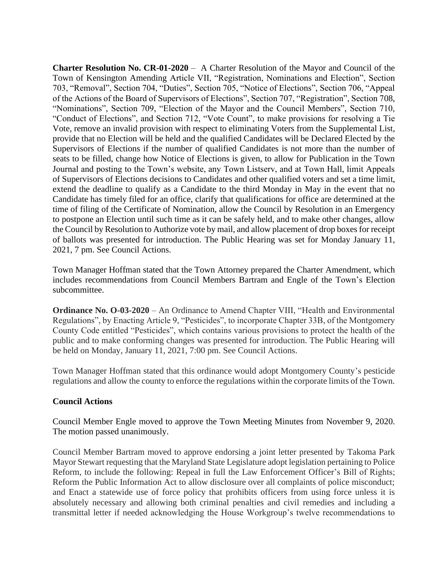**Charter Resolution No. CR-01-2020** – A Charter Resolution of the Mayor and Council of the Town of Kensington Amending Article VII, "Registration, Nominations and Election", Section 703, "Removal", Section 704, "Duties", Section 705, "Notice of Elections", Section 706, "Appeal of the Actions of the Board of Supervisors of Elections", Section 707, "Registration", Section 708, "Nominations", Section 709, "Election of the Mayor and the Council Members", Section 710, "Conduct of Elections", and Section 712, "Vote Count", to make provisions for resolving a Tie Vote, remove an invalid provision with respect to eliminating Voters from the Supplemental List, provide that no Election will be held and the qualified Candidates will be Declared Elected by the Supervisors of Elections if the number of qualified Candidates is not more than the number of seats to be filled, change how Notice of Elections is given, to allow for Publication in the Town Journal and posting to the Town's website, any Town Listserv, and at Town Hall, limit Appeals of Supervisors of Elections decisions to Candidates and other qualified voters and set a time limit, extend the deadline to qualify as a Candidate to the third Monday in May in the event that no Candidate has timely filed for an office, clarify that qualifications for office are determined at the time of filing of the Certificate of Nomination, allow the Council by Resolution in an Emergency to postpone an Election until such time as it can be safely held, and to make other changes, allow the Council by Resolution to Authorize vote by mail, and allow placement of drop boxes for receipt of ballots was presented for introduction. The Public Hearing was set for Monday January 11, 2021, 7 pm. See Council Actions.

Town Manager Hoffman stated that the Town Attorney prepared the Charter Amendment, which includes recommendations from Council Members Bartram and Engle of the Town's Election subcommittee.

**[Ordinance No. O-03-2020](http://r20.rs6.net/tn.jsp?f=001ySPx9YzNcBeHvEKLzniRt2Hdj1X27wcYm_xWIn4vNM_W7JMbSkouALwjQvvueDtN5_-FAdogYsc6RWQLNJqwc62VPZWMPBp-Osv_FkQU2q276OUAmZgRHXW2h6dsXl31qpVnXAHTu4fhxz99NzInSk6HqXf7ec4a13wLEf6D7VFj3ZVVfIfuV23KV_zhaiJu&c=NPWBAE3_A6sEjdBtmmIn4J-9g9RJuVVcW3zGQMQeCS6HObL7OeFjbg==&ch=YVvdjaPAvzELQeudIKSVj9kUT9Af-FoTg2WhWOFm9QXdi8mrE47E5w==)** – An Ordinance to Amend Chapter VIII, "Health and Environmental Regulations", by Enacting Article 9, "Pesticides", to incorporate Chapter 33B, of the Montgomery County Code entitled "Pesticides", which contains various provisions to protect the health of the public and to make conforming changes was presented for introduction. The Public Hearing will be held on Monday, January 11, 2021, 7:00 pm. See Council Actions.

Town Manager Hoffman stated that this ordinance would adopt Montgomery County's pesticide regulations and allow the county to enforce the regulations within the corporate limits of the Town.

### **Council Actions**

Council Member Engle moved to approve the Town Meeting Minutes from November 9, 2020. The motion passed unanimously.

Council Member Bartram moved to approve endorsing a joint letter presented by Takoma Park Mayor Stewart requesting that the Maryland State Legislature adopt legislation pertaining to Police Reform, to include the following: Repeal in full the Law Enforcement Officer's Bill of Rights; Reform the Public Information Act to allow disclosure over all complaints of police misconduct; and Enact a statewide use of force policy that prohibits officers from using force unless it is absolutely necessary and allowing both criminal penalties and civil remedies and including a transmittal letter if needed acknowledging the House Workgroup's twelve recommendations to